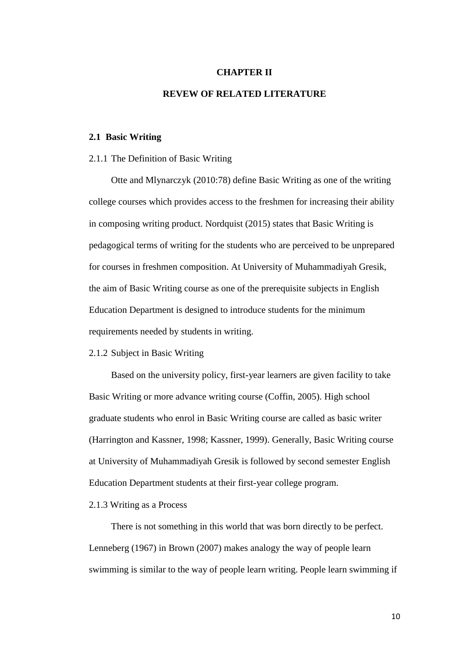#### **CHAPTER II**

# **REVEW OF RELATED LITERATURE**

#### **2.1 Basic Writing**

#### 2.1.1 The Definition of Basic Writing

Otte and Mlynarczyk (2010:78) define Basic Writing as one of the writing college courses which provides access to the freshmen for increasing their ability in composing writing product. Nordquist (2015) states that Basic Writing is pedagogical terms of writing for the students who are perceived to be unprepared for courses in freshmen composition. At University of Muhammadiyah Gresik, the aim of Basic Writing course as one of the prerequisite subjects in English Education Department is designed to introduce students for the minimum requirements needed by students in writing.

#### 2.1.2 Subject in Basic Writing

Based on the university policy, first-year learners are given facility to take Basic Writing or more advance writing course (Coffin, 2005). High school graduate students who enrol in Basic Writing course are called as basic writer (Harrington and Kassner, 1998; Kassner, 1999). Generally, Basic Writing course at University of Muhammadiyah Gresik is followed by second semester English Education Department students at their first-year college program.

## 2.1.3 Writing as a Process

There is not something in this world that was born directly to be perfect. Lenneberg (1967) in Brown (2007) makes analogy the way of people learn swimming is similar to the way of people learn writing. People learn swimming if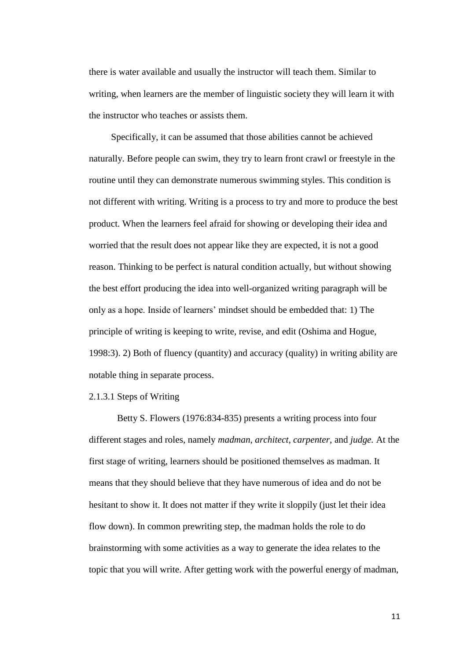there is water available and usually the instructor will teach them. Similar to writing, when learners are the member of linguistic society they will learn it with the instructor who teaches or assists them.

Specifically, it can be assumed that those abilities cannot be achieved naturally. Before people can swim, they try to learn front crawl or freestyle in the routine until they can demonstrate numerous swimming styles. This condition is not different with writing. Writing is a process to try and more to produce the best product. When the learners feel afraid for showing or developing their idea and worried that the result does not appear like they are expected, it is not a good reason. Thinking to be perfect is natural condition actually, but without showing the best effort producing the idea into well-organized writing paragraph will be only as a hope. Inside of learners" mindset should be embedded that: 1) The principle of writing is keeping to write, revise, and edit (Oshima and Hogue, 1998:3). 2) Both of fluency (quantity) and accuracy (quality) in writing ability are notable thing in separate process.

## 2.1.3.1 Steps of Writing

Betty S. Flowers (1976:834-835) presents a writing process into four different stages and roles, namely *madman*, *architect*, *carpenter*, and *judge.* At the first stage of writing, learners should be positioned themselves as madman. It means that they should believe that they have numerous of idea and do not be hesitant to show it. It does not matter if they write it sloppily (just let their idea flow down). In common prewriting step, the madman holds the role to do brainstorming with some activities as a way to generate the idea relates to the topic that you will write. After getting work with the powerful energy of madman,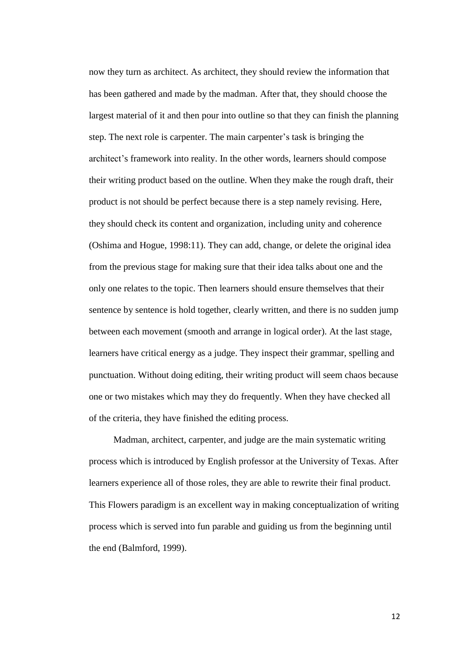now they turn as architect. As architect, they should review the information that has been gathered and made by the madman. After that, they should choose the largest material of it and then pour into outline so that they can finish the planning step. The next role is carpenter. The main carpenter"s task is bringing the architect"s framework into reality. In the other words, learners should compose their writing product based on the outline. When they make the rough draft, their product is not should be perfect because there is a step namely revising. Here, they should check its content and organization, including unity and coherence (Oshima and Hogue, 1998:11). They can add, change, or delete the original idea from the previous stage for making sure that their idea talks about one and the only one relates to the topic. Then learners should ensure themselves that their sentence by sentence is hold together, clearly written, and there is no sudden jump between each movement (smooth and arrange in logical order). At the last stage, learners have critical energy as a judge. They inspect their grammar, spelling and punctuation. Without doing editing, their writing product will seem chaos because one or two mistakes which may they do frequently. When they have checked all of the criteria, they have finished the editing process.

Madman, architect, carpenter, and judge are the main systematic writing process which is introduced by English professor at the University of Texas. After learners experience all of those roles, they are able to rewrite their final product. This Flowers paradigm is an excellent way in making conceptualization of writing process which is served into fun parable and guiding us from the beginning until the end (Balmford, 1999).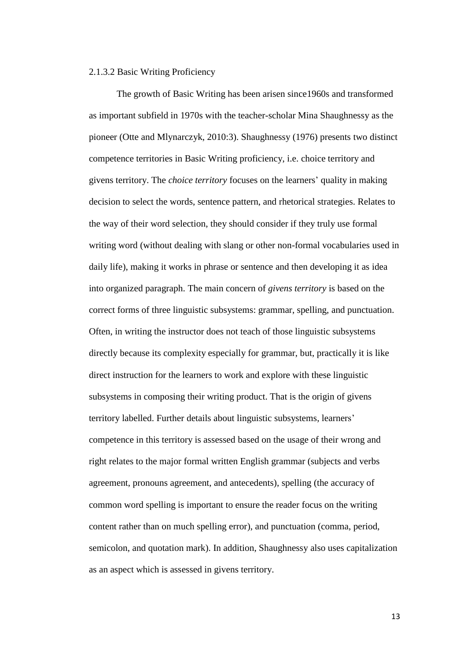## 2.1.3.2 Basic Writing Proficiency

The growth of Basic Writing has been arisen since1960s and transformed as important subfield in 1970s with the teacher-scholar Mina Shaughnessy as the pioneer (Otte and Mlynarczyk, 2010:3). Shaughnessy (1976) presents two distinct competence territories in Basic Writing proficiency, i.e. choice territory and givens territory. The *choice territory* focuses on the learners" quality in making decision to select the words, sentence pattern, and rhetorical strategies. Relates to the way of their word selection, they should consider if they truly use formal writing word (without dealing with slang or other non-formal vocabularies used in daily life), making it works in phrase or sentence and then developing it as idea into organized paragraph. The main concern of *givens territory* is based on the correct forms of three linguistic subsystems: grammar, spelling, and punctuation. Often, in writing the instructor does not teach of those linguistic subsystems directly because its complexity especially for grammar, but, practically it is like direct instruction for the learners to work and explore with these linguistic subsystems in composing their writing product. That is the origin of givens territory labelled. Further details about linguistic subsystems, learners" competence in this territory is assessed based on the usage of their wrong and right relates to the major formal written English grammar (subjects and verbs agreement, pronouns agreement, and antecedents), spelling (the accuracy of common word spelling is important to ensure the reader focus on the writing content rather than on much spelling error), and punctuation (comma, period, semicolon, and quotation mark). In addition, Shaughnessy also uses capitalization as an aspect which is assessed in givens territory.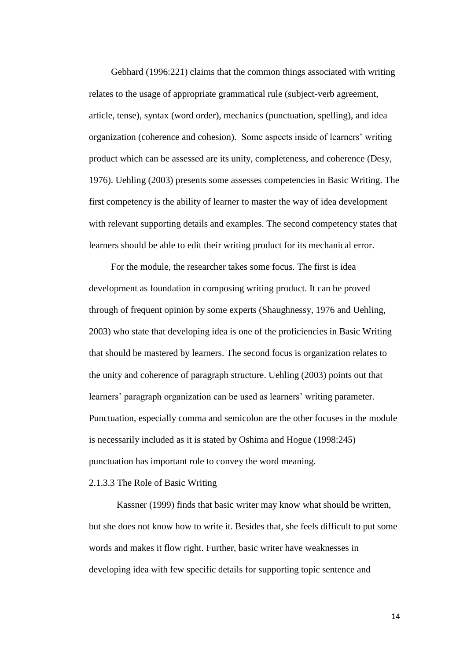Gebhard (1996:221) claims that the common things associated with writing relates to the usage of appropriate grammatical rule (subject-verb agreement, article, tense), syntax (word order), mechanics (punctuation, spelling), and idea organization (coherence and cohesion). Some aspects inside of learners" writing product which can be assessed are its unity, completeness, and coherence (Desy, 1976). Uehling (2003) presents some assesses competencies in Basic Writing. The first competency is the ability of learner to master the way of idea development with relevant supporting details and examples. The second competency states that learners should be able to edit their writing product for its mechanical error.

For the module, the researcher takes some focus. The first is idea development as foundation in composing writing product. It can be proved through of frequent opinion by some experts (Shaughnessy, 1976 and Uehling, 2003) who state that developing idea is one of the proficiencies in Basic Writing that should be mastered by learners. The second focus is organization relates to the unity and coherence of paragraph structure. Uehling (2003) points out that learners' paragraph organization can be used as learners' writing parameter. Punctuation, especially comma and semicolon are the other focuses in the module is necessarily included as it is stated by Oshima and Hogue (1998:245) punctuation has important role to convey the word meaning.

# 2.1.3.3 The Role of Basic Writing

Kassner (1999) finds that basic writer may know what should be written, but she does not know how to write it. Besides that, she feels difficult to put some words and makes it flow right. Further, basic writer have weaknesses in developing idea with few specific details for supporting topic sentence and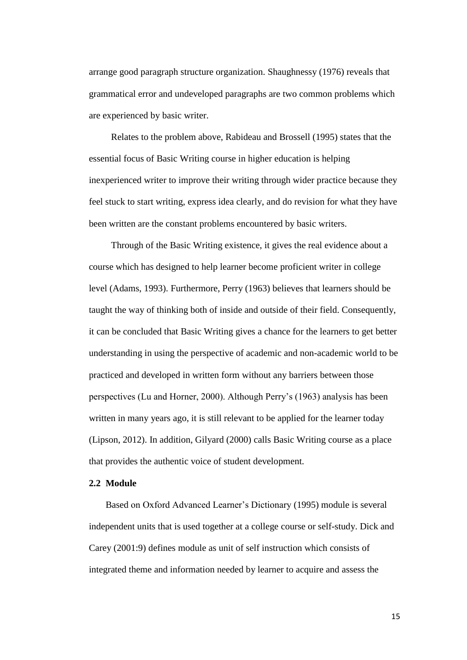arrange good paragraph structure organization. Shaughnessy (1976) reveals that grammatical error and undeveloped paragraphs are two common problems which are experienced by basic writer.

Relates to the problem above, Rabideau and Brossell (1995) states that the essential focus of Basic Writing course in higher education is helping inexperienced writer to improve their writing through wider practice because they feel stuck to start writing, express idea clearly, and do revision for what they have been written are the constant problems encountered by basic writers.

Through of the Basic Writing existence, it gives the real evidence about a course which has designed to help learner become proficient writer in college level (Adams, 1993). Furthermore, Perry (1963) believes that learners should be taught the way of thinking both of inside and outside of their field. Consequently, it can be concluded that Basic Writing gives a chance for the learners to get better understanding in using the perspective of academic and non-academic world to be practiced and developed in written form without any barriers between those perspectives (Lu and Horner, 2000). Although Perry"s (1963) analysis has been written in many years ago, it is still relevant to be applied for the learner today (Lipson, 2012). In addition, Gilyard (2000) calls Basic Writing course as a place that provides the authentic voice of student development.

#### **2.2 Module**

Based on Oxford Advanced Learner"s Dictionary (1995) module is several independent units that is used together at a college course or self-study. Dick and Carey (2001:9) defines module as unit of self instruction which consists of integrated theme and information needed by learner to acquire and assess the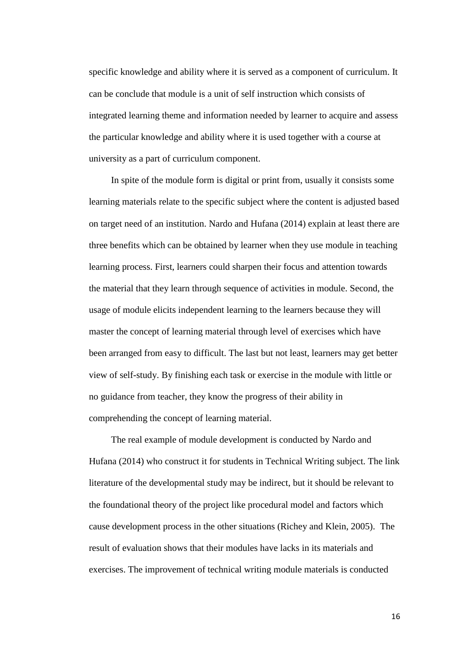specific knowledge and ability where it is served as a component of curriculum. It can be conclude that module is a unit of self instruction which consists of integrated learning theme and information needed by learner to acquire and assess the particular knowledge and ability where it is used together with a course at university as a part of curriculum component.

In spite of the module form is digital or print from, usually it consists some learning materials relate to the specific subject where the content is adjusted based on target need of an institution. Nardo and Hufana (2014) explain at least there are three benefits which can be obtained by learner when they use module in teaching learning process. First, learners could sharpen their focus and attention towards the material that they learn through sequence of activities in module. Second, the usage of module elicits independent learning to the learners because they will master the concept of learning material through level of exercises which have been arranged from easy to difficult. The last but not least, learners may get better view of self-study. By finishing each task or exercise in the module with little or no guidance from teacher, they know the progress of their ability in comprehending the concept of learning material.

The real example of module development is conducted by Nardo and Hufana (2014) who construct it for students in Technical Writing subject. The link literature of the developmental study may be indirect, but it should be relevant to the foundational theory of the project like procedural model and factors which cause development process in the other situations (Richey and Klein, 2005). The result of evaluation shows that their modules have lacks in its materials and exercises. The improvement of technical writing module materials is conducted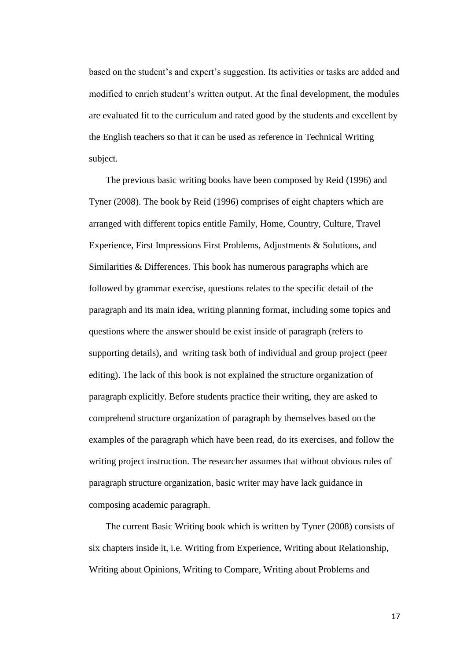based on the student's and expert's suggestion. Its activities or tasks are added and modified to enrich student"s written output. At the final development, the modules are evaluated fit to the curriculum and rated good by the students and excellent by the English teachers so that it can be used as reference in Technical Writing subject.

The previous basic writing books have been composed by Reid (1996) and Tyner (2008). The book by Reid (1996) comprises of eight chapters which are arranged with different topics entitle Family, Home, Country, Culture, Travel Experience, First Impressions First Problems, Adjustments & Solutions, and Similarities & Differences. This book has numerous paragraphs which are followed by grammar exercise, questions relates to the specific detail of the paragraph and its main idea, writing planning format, including some topics and questions where the answer should be exist inside of paragraph (refers to supporting details), and writing task both of individual and group project (peer editing). The lack of this book is not explained the structure organization of paragraph explicitly. Before students practice their writing, they are asked to comprehend structure organization of paragraph by themselves based on the examples of the paragraph which have been read, do its exercises, and follow the writing project instruction. The researcher assumes that without obvious rules of paragraph structure organization, basic writer may have lack guidance in composing academic paragraph.

The current Basic Writing book which is written by Tyner (2008) consists of six chapters inside it, i.e. Writing from Experience, Writing about Relationship, Writing about Opinions, Writing to Compare, Writing about Problems and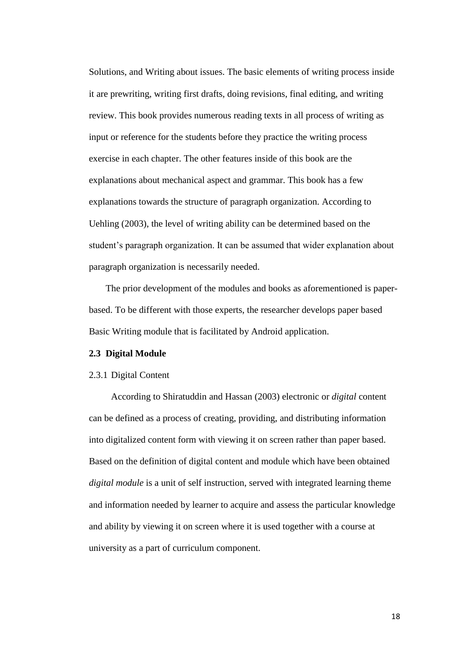Solutions, and Writing about issues. The basic elements of writing process inside it are prewriting, writing first drafts, doing revisions, final editing, and writing review. This book provides numerous reading texts in all process of writing as input or reference for the students before they practice the writing process exercise in each chapter. The other features inside of this book are the explanations about mechanical aspect and grammar. This book has a few explanations towards the structure of paragraph organization. According to Uehling (2003), the level of writing ability can be determined based on the student"s paragraph organization. It can be assumed that wider explanation about paragraph organization is necessarily needed.

The prior development of the modules and books as aforementioned is paperbased. To be different with those experts, the researcher develops paper based Basic Writing module that is facilitated by Android application.

#### **2.3 Digital Module**

## 2.3.1 Digital Content

According to Shiratuddin and Hassan (2003) electronic or *digital* content can be defined as a process of creating, providing, and distributing information into digitalized content form with viewing it on screen rather than paper based. Based on the definition of digital content and module which have been obtained *digital module* is a unit of self instruction, served with integrated learning theme and information needed by learner to acquire and assess the particular knowledge and ability by viewing it on screen where it is used together with a course at university as a part of curriculum component.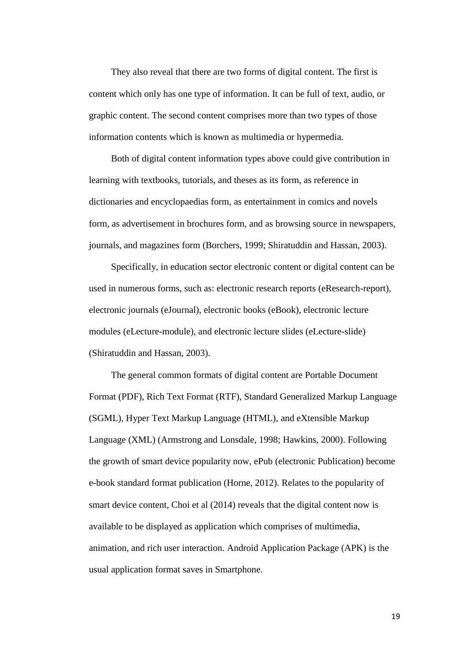They also reveal that there are two forms of digital content. The first is content which only has one type of information. It can be full of text, audio, or graphic content. The second content comprises more than two types of those information contents which is known as multimedia or hypermedia.

Both of digital content information types above could give contribution in learning with textbooks, tutorials, and theses as its form, as reference in dictionaries and encyclopaedias form, as entertainment in comics and novels form, as advertisement in brochures form, and as browsing source in newspapers, journals, and magazines form (Borchers, 1999; Shiratuddin and Hassan, 2003).

Specifically, in education sector electronic content or digital content can be used in numerous forms, such as: electronic research reports (eResearch-report), electronic journals (eJournal), electronic books (eBook), electronic lecture modules (eLecture-module), and electronic lecture slides (eLecture-slide) (Shiratuddin and Hassan, 2003).

The general common formats of digital content are Portable Document Format (PDF), Rich Text Format (RTF), Standard Generalized Markup Language (SGML), Hyper Text Markup Language (HTML), and eXtensible Markup Language (XML) (Armstrong and Lonsdale, 1998; Hawkins, 2000). Following the growth of smart device popularity now, ePub (electronic Publication) become e-book standard format publication (Horne, 2012). Relates to the popularity of smart device content, Choi et al (2014) reveals that the digital content now is available to be displayed as application which comprises of multimedia, animation, and rich user interaction. Android Application Package (APK) is the usual application format saves in Smartphone.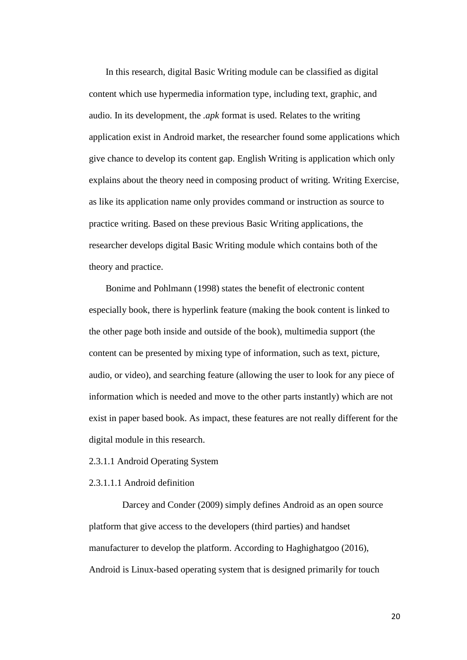In this research, digital Basic Writing module can be classified as digital content which use hypermedia information type, including text, graphic, and audio. In its development, the *.apk* format is used. Relates to the writing application exist in Android market, the researcher found some applications which give chance to develop its content gap. English Writing is application which only explains about the theory need in composing product of writing. Writing Exercise, as like its application name only provides command or instruction as source to practice writing. Based on these previous Basic Writing applications, the researcher develops digital Basic Writing module which contains both of the theory and practice.

Bonime and Pohlmann (1998) states the benefit of electronic content especially book, there is hyperlink feature (making the book content is linked to the other page both inside and outside of the book), multimedia support (the content can be presented by mixing type of information, such as text, picture, audio, or video), and searching feature (allowing the user to look for any piece of information which is needed and move to the other parts instantly) which are not exist in paper based book. As impact, these features are not really different for the digital module in this research.

2.3.1.1 Android Operating System

2.3.1.1.1 Android definition

Darcey and Conder (2009) simply defines Android as an open source platform that give access to the developers (third parties) and handset manufacturer to develop the platform. According to Haghighatgoo (2016), Android is Linux-based operating system that is designed primarily for touch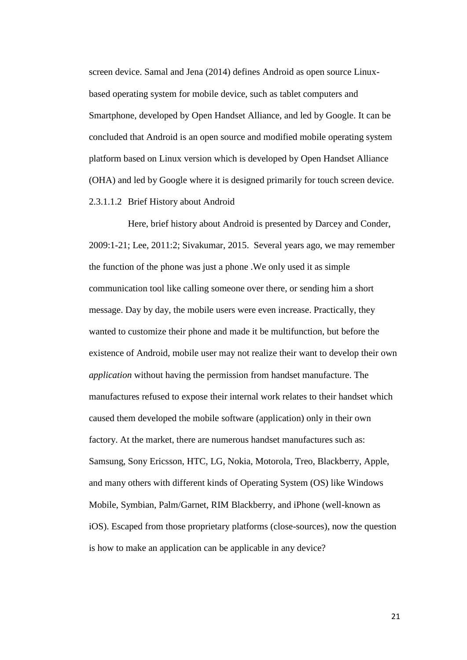screen device. Samal and Jena (2014) defines Android as open source Linuxbased operating system for mobile device, such as tablet computers and Smartphone, developed by Open Handset Alliance, and led by Google. It can be concluded that Android is an open source and modified mobile operating system platform based on Linux version which is developed by Open Handset Alliance (OHA) and led by Google where it is designed primarily for touch screen device. 2.3.1.1.2 Brief History about Android

Here, brief history about Android is presented by Darcey and Conder, 2009:1-21; Lee, 2011:2; Sivakumar, 2015. Several years ago, we may remember the function of the phone was just a phone .We only used it as simple communication tool like calling someone over there, or sending him a short message. Day by day, the mobile users were even increase. Practically, they wanted to customize their phone and made it be multifunction, but before the existence of Android, mobile user may not realize their want to develop their own *application* without having the permission from handset manufacture. The manufactures refused to expose their internal work relates to their handset which caused them developed the mobile software (application) only in their own factory. At the market, there are numerous handset manufactures such as: Samsung, Sony Ericsson, HTC, LG, Nokia, Motorola, Treo, Blackberry, Apple, and many others with different kinds of Operating System (OS) like Windows Mobile, Symbian, Palm/Garnet, RIM Blackberry, and iPhone (well-known as iOS). Escaped from those proprietary platforms (close-sources), now the question is how to make an application can be applicable in any device?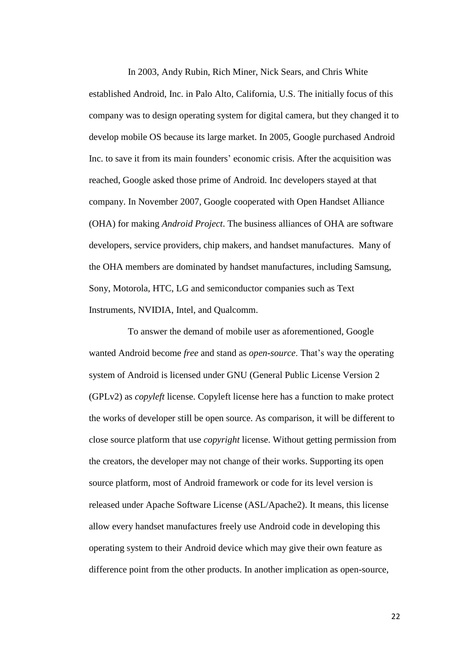In 2003, Andy Rubin, Rich Miner, Nick Sears, and Chris White established Android, Inc. in Palo Alto, California, U.S. The initially focus of this company was to design operating system for digital camera, but they changed it to develop mobile OS because its large market. In 2005, Google purchased Android Inc. to save it from its main founders' economic crisis. After the acquisition was reached, Google asked those prime of Android. Inc developers stayed at that company. In November 2007, Google cooperated with Open Handset Alliance (OHA) for making *Android Project*. The business alliances of OHA are software developers, service providers, chip makers, and handset manufactures. Many of the OHA members are dominated by handset manufactures, including Samsung, Sony, Motorola, HTC, LG and semiconductor companies such as Text Instruments, NVIDIA, Intel, and Qualcomm.

To answer the demand of mobile user as aforementioned, Google wanted Android become *free* and stand as *open-source*. That"s way the operating system of Android is licensed under GNU (General Public License Version 2 (GPLv2) as *copyleft* license. Copyleft license here has a function to make protect the works of developer still be open source. As comparison, it will be different to close source platform that use *copyright* license. Without getting permission from the creators, the developer may not change of their works. Supporting its open source platform, most of Android framework or code for its level version is released under Apache Software License (ASL/Apache2). It means, this license allow every handset manufactures freely use Android code in developing this operating system to their Android device which may give their own feature as difference point from the other products. In another implication as open-source,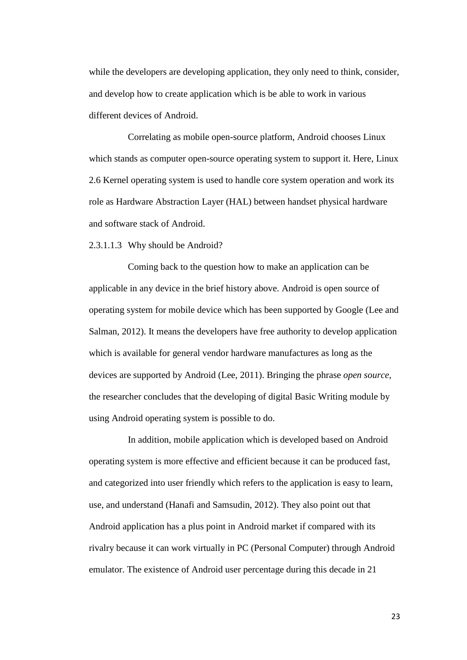while the developers are developing application, they only need to think, consider, and develop how to create application which is be able to work in various different devices of Android.

Correlating as mobile open-source platform, Android chooses Linux which stands as computer open-source operating system to support it. Here, Linux 2.6 Kernel operating system is used to handle core system operation and work its role as Hardware Abstraction Layer (HAL) between handset physical hardware and software stack of Android.

2.3.1.1.3 Why should be Android?

Coming back to the question how to make an application can be applicable in any device in the brief history above. Android is open source of operating system for mobile device which has been supported by Google (Lee and Salman, 2012). It means the developers have free authority to develop application which is available for general vendor hardware manufactures as long as the devices are supported by Android (Lee, 2011). Bringing the phrase *open source*, the researcher concludes that the developing of digital Basic Writing module by using Android operating system is possible to do.

In addition, mobile application which is developed based on Android operating system is more effective and efficient because it can be produced fast, and categorized into user friendly which refers to the application is easy to learn, use, and understand (Hanafi and Samsudin, 2012). They also point out that Android application has a plus point in Android market if compared with its rivalry because it can work virtually in PC (Personal Computer) through Android emulator. The existence of Android user percentage during this decade in 21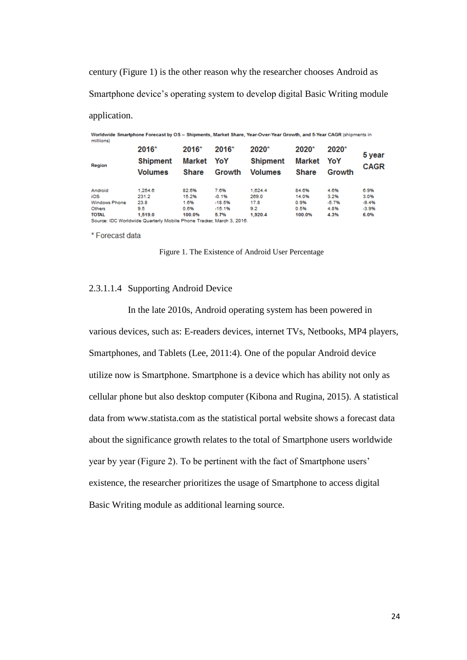century (Figure 1) is the other reason why the researcher chooses Android as Smartphone device"s operating system to develop digital Basic Writing module application.

| Worldwide Smartphone Forecast by OS - Shipments, Market Share, Year-Over-Year Growth, and 5-Year CAGR (shipments in<br>millions) |                                                                      |              |          |                 |              |         |             |
|----------------------------------------------------------------------------------------------------------------------------------|----------------------------------------------------------------------|--------------|----------|-----------------|--------------|---------|-------------|
|                                                                                                                                  | 2016*                                                                | 2016*        | 2016*    | $2020*$         | $2020*$      | $2020*$ | 5 year      |
| Region                                                                                                                           | <b>Shipment</b>                                                      | Market YoY   |          | <b>Shipment</b> | Market       | YoY     | <b>CAGR</b> |
|                                                                                                                                  | <b>Volumes</b>                                                       | <b>Share</b> | Growth   | <b>Volumes</b>  | <b>Share</b> | Growth  |             |
| Android                                                                                                                          | 1.254.6                                                              | 82.6%        | 7.6%     | 1.624.4         | 84.6%        | 4.6%    | 6.9%        |
| iOS                                                                                                                              | 231.2                                                                | 15.2%        | $-0.1%$  | 269.0           | 14.0%        | 3.2%    | 3.0%        |
| Windows Phone                                                                                                                    | 23.8                                                                 | 1.6%         | $-18.5%$ | 17.8            | 0.9%         | $-5.7%$ | $-9.4%$     |
| Others                                                                                                                           | 9.5                                                                  | 0.6%         | $-15.1%$ | 9.2             | 0.5%         | 4.8%    | $-3.9%$     |
| <b>TOTAL</b>                                                                                                                     | 1.519.0                                                              | 100.0%       | 5.7%     | 1.920.4         | 100.0%       | 4.3%    | 6.0%        |
|                                                                                                                                  | Source: IDC Worldwide Quarterly Mobile Phone Tracker, March 3, 2016. |              |          |                 |              |         |             |

\* Forecast data

Figure 1. The Existence of Android User Percentage

## 2.3.1.1.4 Supporting Android Device

In the late 2010s, Android operating system has been powered in various devices, such as: E-readers devices, internet TVs, Netbooks, MP4 players, Smartphones, and Tablets (Lee, 2011:4). One of the popular Android device utilize now is Smartphone. Smartphone is a device which has ability not only as cellular phone but also desktop computer (Kibona and Rugina, 2015). A statistical data from [www.statista.com](http://www.statista.com/) as the statistical portal website shows a forecast data about the significance growth relates to the total of Smartphone users worldwide year by year (Figure 2). To be pertinent with the fact of Smartphone users" existence, the researcher prioritizes the usage of Smartphone to access digital Basic Writing module as additional learning source.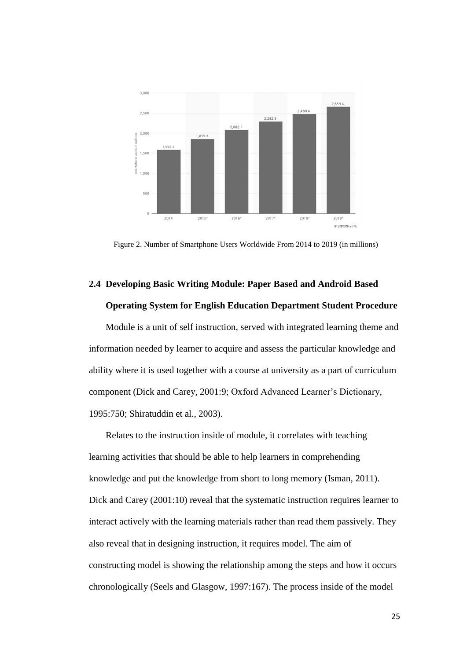

Figure 2. Number of Smartphone Users Worldwide From 2014 to 2019 (in millions)

# **2.4 Developing Basic Writing Module: Paper Based and Android Based Operating System for English Education Department Student Procedure**

Module is a unit of self instruction, served with integrated learning theme and information needed by learner to acquire and assess the particular knowledge and ability where it is used together with a course at university as a part of curriculum component (Dick and Carey, 2001:9; Oxford Advanced Learner"s Dictionary, 1995:750; Shiratuddin et al., 2003).

Relates to the instruction inside of module, it correlates with teaching learning activities that should be able to help learners in comprehending knowledge and put the knowledge from short to long memory (Isman, 2011). Dick and Carey (2001:10) reveal that the systematic instruction requires learner to interact actively with the learning materials rather than read them passively. They also reveal that in designing instruction, it requires model. The aim of constructing model is showing the relationship among the steps and how it occurs chronologically (Seels and Glasgow, 1997:167). The process inside of the model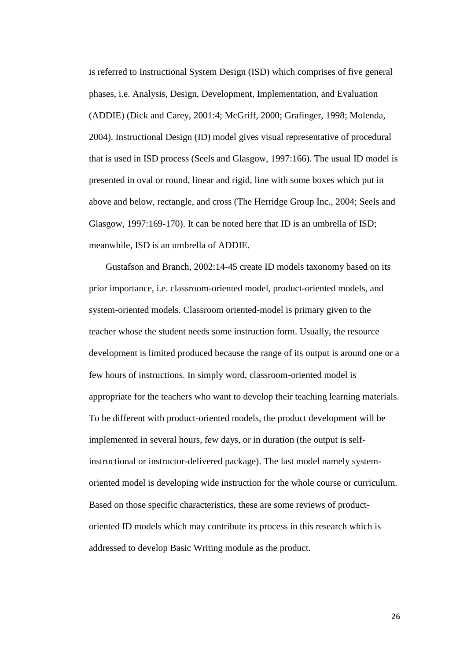is referred to Instructional System Design (ISD) which comprises of five general phases, i.e. Analysis, Design, Development, Implementation, and Evaluation (ADDIE) (Dick and Carey, 2001:4; McGriff, 2000; Grafinger, 1998; Molenda, 2004). Instructional Design (ID) model gives visual representative of procedural that is used in ISD process (Seels and Glasgow, 1997:166). The usual ID model is presented in oval or round, linear and rigid, line with some boxes which put in above and below, rectangle, and cross (The Herridge Group Inc., 2004; Seels and Glasgow, 1997:169-170). It can be noted here that ID is an umbrella of ISD; meanwhile, ISD is an umbrella of ADDIE.

Gustafson and Branch, 2002:14-45 create ID models taxonomy based on its prior importance, i.e. classroom-oriented model, product-oriented models, and system-oriented models. Classroom oriented-model is primary given to the teacher whose the student needs some instruction form. Usually, the resource development is limited produced because the range of its output is around one or a few hours of instructions. In simply word, classroom-oriented model is appropriate for the teachers who want to develop their teaching learning materials. To be different with product-oriented models, the product development will be implemented in several hours, few days, or in duration (the output is selfinstructional or instructor-delivered package). The last model namely systemoriented model is developing wide instruction for the whole course or curriculum. Based on those specific characteristics, these are some reviews of productoriented ID models which may contribute its process in this research which is addressed to develop Basic Writing module as the product.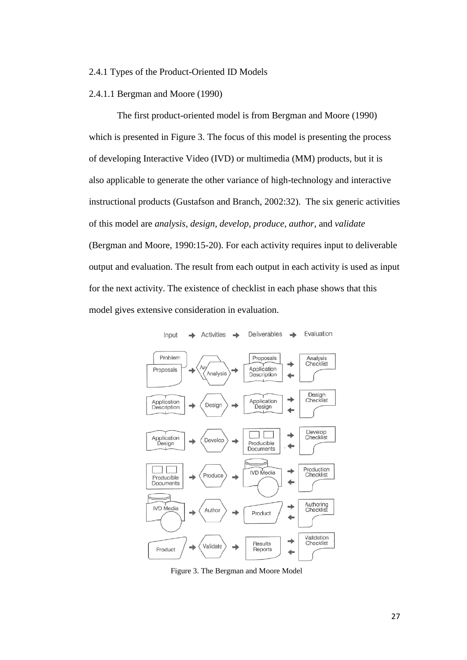#### 2.4.1 Types of the Product-Oriented ID Models

# 2.4.1.1 Bergman and Moore (1990)

The first product-oriented model is from Bergman and Moore (1990) which is presented in Figure 3. The focus of this model is presenting the process of developing Interactive Video (IVD) or multimedia (MM) products, but it is also applicable to generate the other variance of high-technology and interactive instructional products (Gustafson and Branch, 2002:32). The six generic activities of this model are *analysis, design, develop, produce, author,* and *validate* (Bergman and Moore, 1990:15-20). For each activity requires input to deliverable output and evaluation. The result from each output in each activity is used as input for the next activity. The existence of checklist in each phase shows that this model gives extensive consideration in evaluation.



Figure 3. The Bergman and Moore Model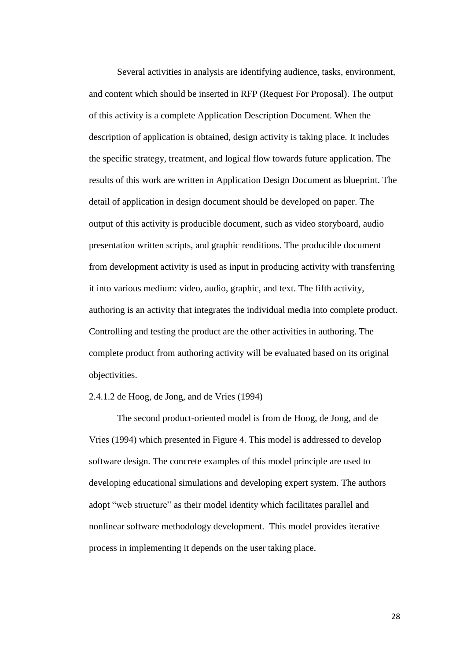Several activities in analysis are identifying audience, tasks, environment, and content which should be inserted in RFP (Request For Proposal). The output of this activity is a complete Application Description Document. When the description of application is obtained, design activity is taking place. It includes the specific strategy, treatment, and logical flow towards future application. The results of this work are written in Application Design Document as blueprint. The detail of application in design document should be developed on paper. The output of this activity is producible document, such as video storyboard, audio presentation written scripts, and graphic renditions. The producible document from development activity is used as input in producing activity with transferring it into various medium: video, audio, graphic, and text. The fifth activity, authoring is an activity that integrates the individual media into complete product. Controlling and testing the product are the other activities in authoring. The complete product from authoring activity will be evaluated based on its original objectivities.

## 2.4.1.2 de Hoog, de Jong, and de Vries (1994)

The second product-oriented model is from de Hoog, de Jong, and de Vries (1994) which presented in Figure 4. This model is addressed to develop software design. The concrete examples of this model principle are used to developing educational simulations and developing expert system. The authors adopt "web structure" as their model identity which facilitates parallel and nonlinear software methodology development. This model provides iterative process in implementing it depends on the user taking place.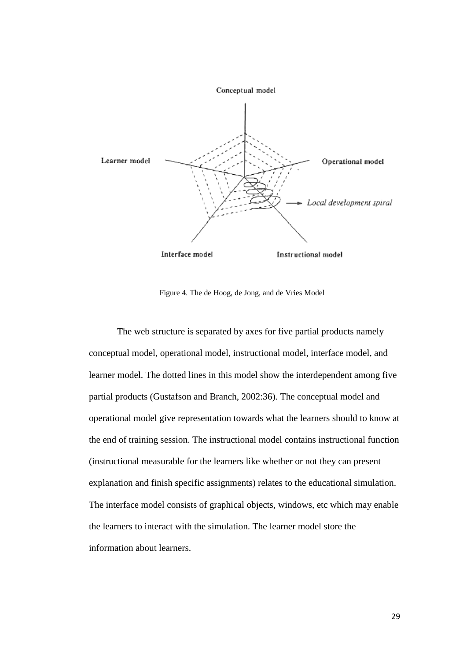

Figure 4. The de Hoog, de Jong, and de Vries Model

The web structure is separated by axes for five partial products namely conceptual model, operational model, instructional model, interface model, and learner model. The dotted lines in this model show the interdependent among five partial products (Gustafson and Branch, 2002:36). The conceptual model and operational model give representation towards what the learners should to know at the end of training session. The instructional model contains instructional function (instructional measurable for the learners like whether or not they can present explanation and finish specific assignments) relates to the educational simulation. The interface model consists of graphical objects, windows, etc which may enable the learners to interact with the simulation. The learner model store the information about learners.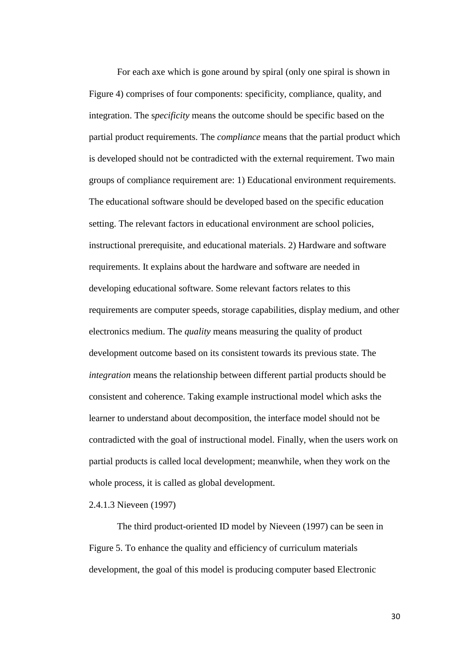For each axe which is gone around by spiral (only one spiral is shown in Figure 4) comprises of four components: specificity, compliance, quality, and integration. The s*pecificity* means the outcome should be specific based on the partial product requirements. The *compliance* means that the partial product which is developed should not be contradicted with the external requirement. Two main groups of compliance requirement are: 1) Educational environment requirements. The educational software should be developed based on the specific education setting. The relevant factors in educational environment are school policies, instructional prerequisite, and educational materials. 2) Hardware and software requirements. It explains about the hardware and software are needed in developing educational software. Some relevant factors relates to this requirements are computer speeds, storage capabilities, display medium, and other electronics medium. The *quality* means measuring the quality of product development outcome based on its consistent towards its previous state. The *integration* means the relationship between different partial products should be consistent and coherence. Taking example instructional model which asks the learner to understand about decomposition, the interface model should not be contradicted with the goal of instructional model. Finally, when the users work on partial products is called local development; meanwhile, when they work on the whole process, it is called as global development.

# 2.4.1.3 Nieveen (1997)

The third product-oriented ID model by Nieveen (1997) can be seen in Figure 5. To enhance the quality and efficiency of curriculum materials development, the goal of this model is producing computer based Electronic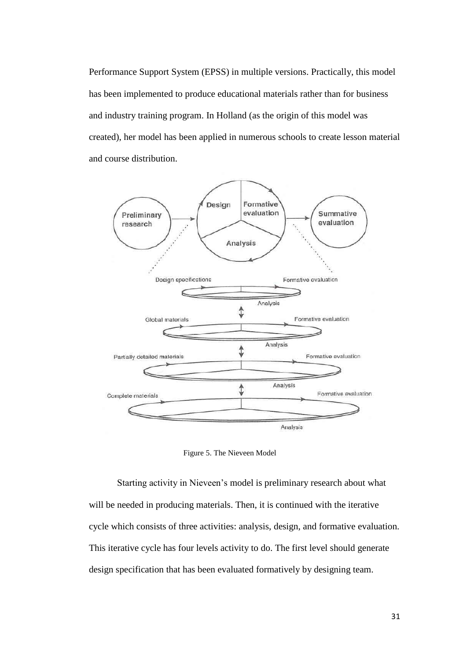Performance Support System (EPSS) in multiple versions. Practically, this model has been implemented to produce educational materials rather than for business and industry training program. In Holland (as the origin of this model was created), her model has been applied in numerous schools to create lesson material and course distribution.



Figure 5. The Nieveen Model

Starting activity in Nieveen"s model is preliminary research about what will be needed in producing materials. Then, it is continued with the iterative cycle which consists of three activities: analysis, design, and formative evaluation. This iterative cycle has four levels activity to do. The first level should generate design specification that has been evaluated formatively by designing team.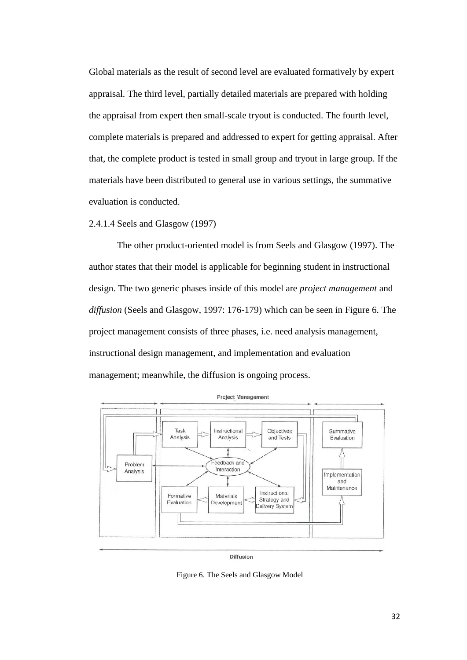Global materials as the result of second level are evaluated formatively by expert appraisal. The third level, partially detailed materials are prepared with holding the appraisal from expert then small-scale tryout is conducted. The fourth level, complete materials is prepared and addressed to expert for getting appraisal. After that, the complete product is tested in small group and tryout in large group. If the materials have been distributed to general use in various settings, the summative evaluation is conducted.

## 2.4.1.4 Seels and Glasgow (1997)

The other product-oriented model is from Seels and Glasgow (1997). The author states that their model is applicable for beginning student in instructional design. The two generic phases inside of this model are *project management* and *diffusion* (Seels and Glasgow, 1997: 176-179) which can be seen in Figure 6. The project management consists of three phases, i.e. need analysis management, instructional design management, and implementation and evaluation management; meanwhile, the diffusion is ongoing process.



**Diffusion** 

Figure 6. The Seels and Glasgow Model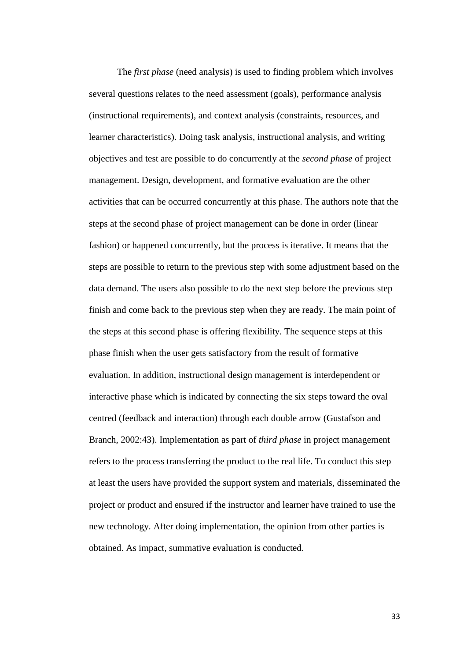The *first phase* (need analysis) is used to finding problem which involves several questions relates to the need assessment (goals), performance analysis (instructional requirements), and context analysis (constraints, resources, and learner characteristics). Doing task analysis, instructional analysis, and writing objectives and test are possible to do concurrently at the *second phase* of project management. Design, development, and formative evaluation are the other activities that can be occurred concurrently at this phase. The authors note that the steps at the second phase of project management can be done in order (linear fashion) or happened concurrently, but the process is iterative. It means that the steps are possible to return to the previous step with some adjustment based on the data demand. The users also possible to do the next step before the previous step finish and come back to the previous step when they are ready. The main point of the steps at this second phase is offering flexibility. The sequence steps at this phase finish when the user gets satisfactory from the result of formative evaluation. In addition, instructional design management is interdependent or interactive phase which is indicated by connecting the six steps toward the oval centred (feedback and interaction) through each double arrow (Gustafson and Branch, 2002:43). Implementation as part of *third phase* in project management refers to the process transferring the product to the real life. To conduct this step at least the users have provided the support system and materials, disseminated the project or product and ensured if the instructor and learner have trained to use the new technology. After doing implementation, the opinion from other parties is obtained. As impact, summative evaluation is conducted.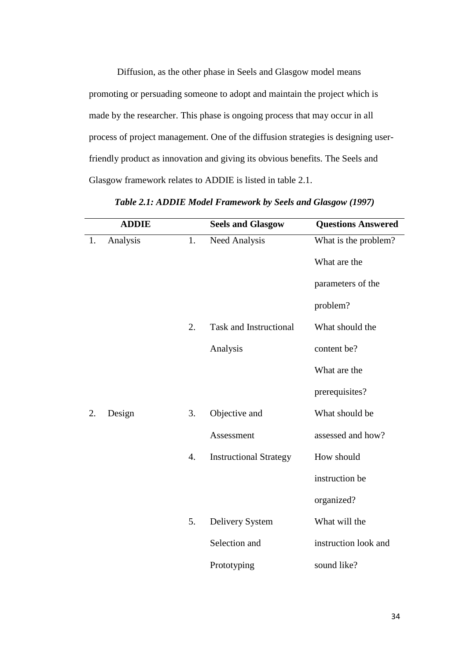Diffusion, as the other phase in Seels and Glasgow model means promoting or persuading someone to adopt and maintain the project which is made by the researcher. This phase is ongoing process that may occur in all process of project management. One of the diffusion strategies is designing userfriendly product as innovation and giving its obvious benefits. The Seels and Glasgow framework relates to ADDIE is listed in table 2.1.

|    | <b>ADDIE</b> |                  | <b>Seels and Glasgow</b>      | <b>Questions Answered</b> |
|----|--------------|------------------|-------------------------------|---------------------------|
| 1. | Analysis     | 1.               | Need Analysis                 | What is the problem?      |
|    |              |                  |                               | What are the              |
|    |              |                  |                               | parameters of the         |
|    |              |                  |                               | problem?                  |
|    |              | 2.               | <b>Task and Instructional</b> | What should the           |
|    |              |                  | Analysis                      | content be?               |
|    |              |                  |                               | What are the              |
|    |              |                  |                               | prerequisites?            |
| 2. | Design       | 3.               | Objective and                 | What should be            |
|    |              |                  | Assessment                    | assessed and how?         |
|    |              | $\overline{4}$ . | <b>Instructional Strategy</b> | How should                |
|    |              |                  |                               | instruction be            |
|    |              |                  |                               | organized?                |
|    |              | 5.               | Delivery System               | What will the             |
|    |              |                  | Selection and                 | instruction look and      |
|    |              |                  | Prototyping                   | sound like?               |

*Table 2.1: ADDIE Model Framework by Seels and Glasgow (1997)*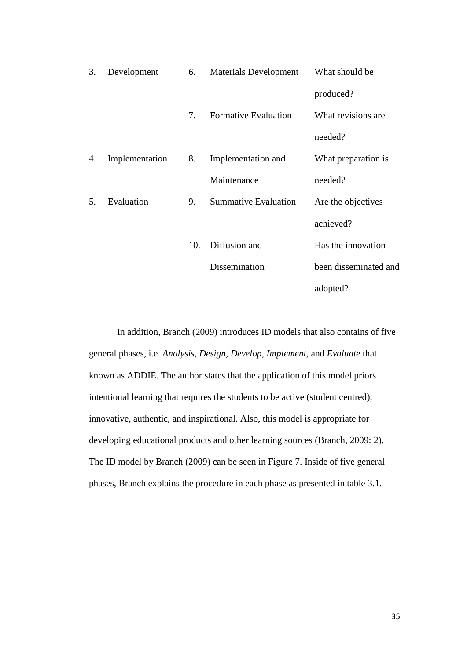| 3. | Development    | 6.  | <b>Materials Development</b> | What should be        |
|----|----------------|-----|------------------------------|-----------------------|
|    |                |     |                              | produced?             |
|    |                | 7.  | <b>Formative Evaluation</b>  | What revisions are    |
|    |                |     |                              | needed?               |
| 4. | Implementation | 8.  | Implementation and           | What preparation is   |
|    |                |     | Maintenance                  | needed?               |
| 5. | Evaluation     | 9.  | <b>Summative Evaluation</b>  | Are the objectives    |
|    |                |     |                              | achieved?             |
|    |                | 10. | Diffusion and                | Has the innovation    |
|    |                |     | Dissemination                | been disseminated and |
|    |                |     |                              | adopted?              |
|    |                |     |                              |                       |

In addition, Branch (2009) introduces ID models that also contains of five general phases, i.e. *Analysis, Design, Develop, Implement*, and *Evaluate* that known as ADDIE. The author states that the application of this model priors intentional learning that requires the students to be active (student centred), innovative, authentic, and inspirational. Also, this model is appropriate for developing educational products and other learning sources (Branch, 2009: 2). The ID model by Branch (2009) can be seen in Figure 7. Inside of five general phases, Branch explains the procedure in each phase as presented in table 3.1.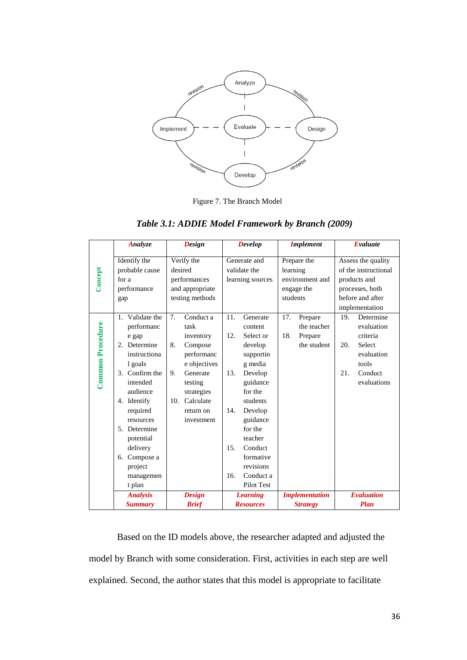

Figure 7. The Branch Model

| Table 3.1: ADDIE Model Framework by Branch (2009) |  |
|---------------------------------------------------|--|

|                  | Analyze         | <b>Design</b>    | <b>Develop</b>   | <b>Implement</b>      | Evaluate                     |  |
|------------------|-----------------|------------------|------------------|-----------------------|------------------------------|--|
|                  | Identify the    | Verify the       | Generate and     | Prepare the           | Assess the quality           |  |
|                  | probable cause  | desired          | validate the     | learning              | of the instructional         |  |
| Concept          | for a           | performances     | learning sources | environment and       | products and                 |  |
|                  | performance     | and appropriate  |                  | engage the            | processes, both              |  |
|                  | gap             | testing methods  |                  | students              | before and after             |  |
|                  |                 |                  |                  |                       | implementation               |  |
|                  | 1. Validate the | 7.<br>Conduct a  | 11.<br>Generate  | 17.<br>Prepare        | 19 <sub>l</sub><br>Determine |  |
|                  | performanc      | task             | content          | the teacher           | evaluation                   |  |
|                  | e gap           | inventory        | 12.<br>Select or | 18.<br>Prepare        | criteria                     |  |
|                  | 2. Determine    | 8.<br>Compose    | develop          | the student           | <b>Select</b><br>20.         |  |
|                  | instructiona    | performanc       | supportin        |                       | evaluation                   |  |
|                  | l goals         | e objectives     | g media          |                       | tools                        |  |
| Common Procedure | 3. Confirm the  | 9.<br>Generate   | 13.<br>Develop   |                       | Conduct<br>21.               |  |
|                  | intended        | testing          | guidance         |                       | evaluations                  |  |
|                  | audience        | strategies       | for the          |                       |                              |  |
|                  | 4. Identify     | Calculate<br>10. | students         |                       |                              |  |
|                  | required        | return on        | 14.<br>Develop   |                       |                              |  |
|                  | resources       | investment       | guidance         |                       |                              |  |
|                  | 5. Determine    |                  | for the          |                       |                              |  |
|                  | potential       |                  | teacher          |                       |                              |  |
|                  | delivery        |                  | Conduct<br>15.   |                       |                              |  |
|                  | Compose a<br>6. |                  | formative        |                       |                              |  |
|                  | project         |                  | revisions        |                       |                              |  |
|                  | managemen       |                  | 16.<br>Conduct a |                       |                              |  |
|                  | t plan          |                  | Pilot Test       |                       |                              |  |
|                  | <b>Analysis</b> | <b>Design</b>    | <b>Learning</b>  | <b>Implementation</b> | <b>Evaluation</b>            |  |
|                  | <b>Summary</b>  | <b>Brief</b>     | <b>Resources</b> | <b>Strategy</b>       | Plan                         |  |

Based on the ID models above, the researcher adapted and adjusted the model by Branch with some consideration. First, activities in each step are well explained. Second, the author states that this model is appropriate to facilitate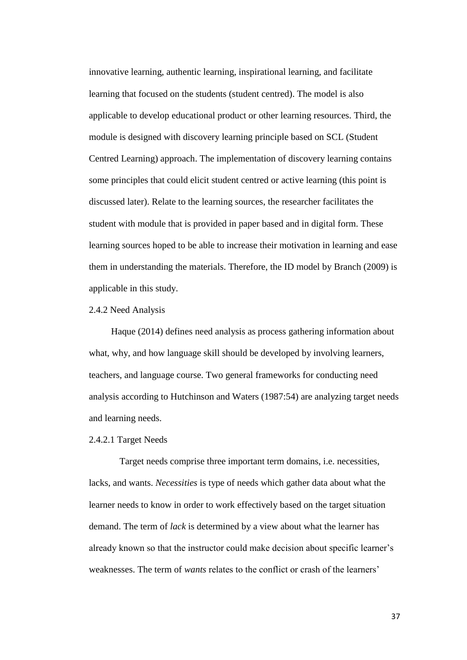innovative learning, authentic learning, inspirational learning, and facilitate learning that focused on the students (student centred). The model is also applicable to develop educational product or other learning resources. Third, the module is designed with discovery learning principle based on SCL (Student Centred Learning) approach. The implementation of discovery learning contains some principles that could elicit student centred or active learning (this point is discussed later). Relate to the learning sources, the researcher facilitates the student with module that is provided in paper based and in digital form. These learning sources hoped to be able to increase their motivation in learning and ease them in understanding the materials. Therefore, the ID model by Branch (2009) is applicable in this study.

## 2.4.2 Need Analysis

Haque (2014) defines need analysis as process gathering information about what, why, and how language skill should be developed by involving learners, teachers, and language course. Two general frameworks for conducting need analysis according to Hutchinson and Waters (1987:54) are analyzing target needs and learning needs.

## 2.4.2.1 Target Needs

Target needs comprise three important term domains, i.e. necessities, lacks, and wants. *Necessities* is type of needs which gather data about what the learner needs to know in order to work effectively based on the target situation demand. The term of *lack* is determined by a view about what the learner has already known so that the instructor could make decision about specific learner"s weaknesses. The term of *wants* relates to the conflict or crash of the learners"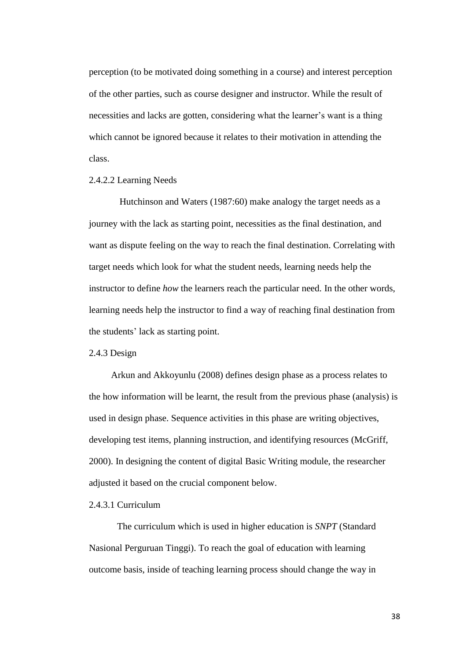perception (to be motivated doing something in a course) and interest perception of the other parties, such as course designer and instructor. While the result of necessities and lacks are gotten, considering what the learner"s want is a thing which cannot be ignored because it relates to their motivation in attending the class.

## 2.4.2.2 Learning Needs

Hutchinson and Waters (1987:60) make analogy the target needs as a journey with the lack as starting point, necessities as the final destination, and want as dispute feeling on the way to reach the final destination. Correlating with target needs which look for what the student needs, learning needs help the instructor to define *how* the learners reach the particular need. In the other words, learning needs help the instructor to find a way of reaching final destination from the students" lack as starting point.

#### 2.4.3 Design

Arkun and Akkoyunlu (2008) defines design phase as a process relates to the how information will be learnt, the result from the previous phase (analysis) is used in design phase. Sequence activities in this phase are writing objectives, developing test items, planning instruction, and identifying resources (McGriff, 2000). In designing the content of digital Basic Writing module, the researcher adjusted it based on the crucial component below.

# 2.4.3.1 Curriculum

The curriculum which is used in higher education is *SNPT* (Standard Nasional Perguruan Tinggi). To reach the goal of education with learning outcome basis, inside of teaching learning process should change the way in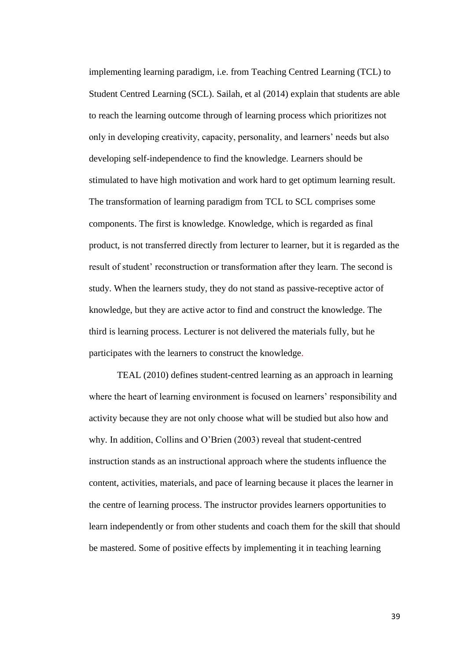implementing learning paradigm, i.e. from Teaching Centred Learning (TCL) to Student Centred Learning (SCL). Sailah, et al (2014) explain that students are able to reach the learning outcome through of learning process which prioritizes not only in developing creativity, capacity, personality, and learners" needs but also developing self-independence to find the knowledge. Learners should be stimulated to have high motivation and work hard to get optimum learning result. The transformation of learning paradigm from TCL to SCL comprises some components. The first is knowledge. Knowledge, which is regarded as final product, is not transferred directly from lecturer to learner, but it is regarded as the result of student' reconstruction or transformation after they learn. The second is study. When the learners study, they do not stand as passive-receptive actor of knowledge, but they are active actor to find and construct the knowledge. The third is learning process. Lecturer is not delivered the materials fully, but he participates with the learners to construct the knowledge.

TEAL (2010) defines student-centred learning as an approach in learning where the heart of learning environment is focused on learners' responsibility and activity because they are not only choose what will be studied but also how and why. In addition, Collins and O"Brien (2003) reveal that student-centred instruction stands as an instructional approach where the students influence the content, activities, materials, and pace of learning because it places the learner in the centre of learning process. The instructor provides learners opportunities to learn independently or from other students and coach them for the skill that should be mastered. Some of positive effects by implementing it in teaching learning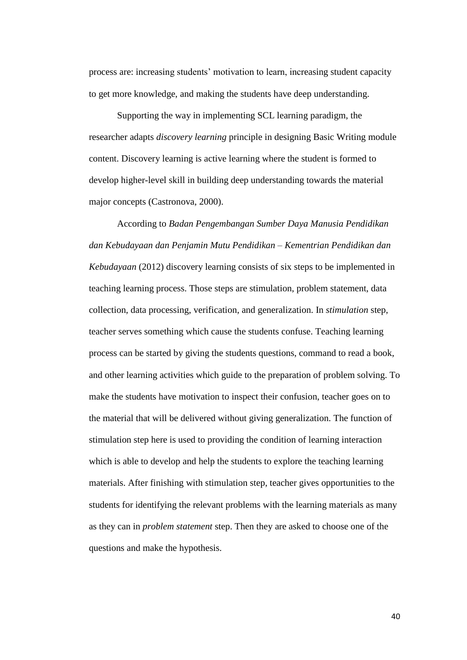process are: increasing students' motivation to learn, increasing student capacity to get more knowledge, and making the students have deep understanding.

Supporting the way in implementing SCL learning paradigm, the researcher adapts *discovery learning* principle in designing Basic Writing module content. Discovery learning is active learning where the student is formed to develop higher-level skill in building deep understanding towards the material major concepts (Castronova, 2000).

According to *Badan Pengembangan Sumber Daya Manusia Pendidikan dan Kebudayaan dan Penjamin Mutu Pendidikan – Kementrian Pendidikan dan Kebudayaan* (2012) discovery learning consists of six steps to be implemented in teaching learning process. Those steps are stimulation, problem statement, data collection, data processing, verification, and generalization. In *stimulation* step, teacher serves something which cause the students confuse. Teaching learning process can be started by giving the students questions, command to read a book, and other learning activities which guide to the preparation of problem solving. To make the students have motivation to inspect their confusion, teacher goes on to the material that will be delivered without giving generalization. The function of stimulation step here is used to providing the condition of learning interaction which is able to develop and help the students to explore the teaching learning materials. After finishing with stimulation step, teacher gives opportunities to the students for identifying the relevant problems with the learning materials as many as they can in *problem statement* step. Then they are asked to choose one of the questions and make the hypothesis.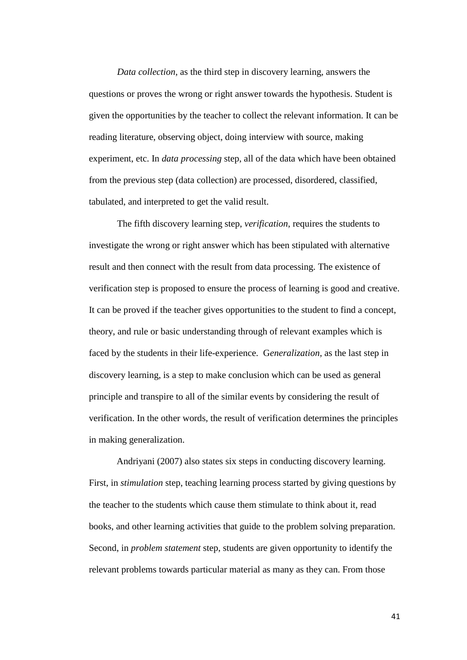*Data collection*, as the third step in discovery learning, answers the questions or proves the wrong or right answer towards the hypothesis. Student is given the opportunities by the teacher to collect the relevant information. It can be reading literature, observing object, doing interview with source, making experiment, etc. In *data processing* step, all of the data which have been obtained from the previous step (data collection) are processed, disordered, classified, tabulated, and interpreted to get the valid result.

The fifth discovery learning step, *verification*, requires the students to investigate the wrong or right answer which has been stipulated with alternative result and then connect with the result from data processing. The existence of verification step is proposed to ensure the process of learning is good and creative. It can be proved if the teacher gives opportunities to the student to find a concept, theory, and rule or basic understanding through of relevant examples which is faced by the students in their life-experience. G*eneralization*, as the last step in discovery learning, is a step to make conclusion which can be used as general principle and transpire to all of the similar events by considering the result of verification. In the other words, the result of verification determines the principles in making generalization.

Andriyani (2007) also states six steps in conducting discovery learning. First, in *stimulation* step, teaching learning process started by giving questions by the teacher to the students which cause them stimulate to think about it, read books, and other learning activities that guide to the problem solving preparation. Second, in *problem statement* step, students are given opportunity to identify the relevant problems towards particular material as many as they can. From those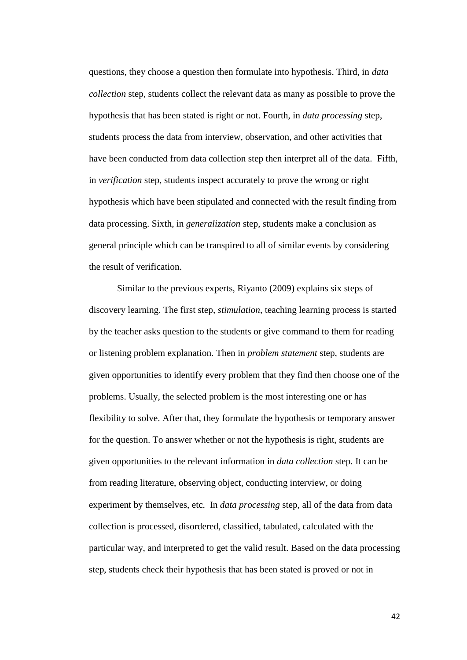questions, they choose a question then formulate into hypothesis. Third, in *data collection* step, students collect the relevant data as many as possible to prove the hypothesis that has been stated is right or not. Fourth, in *data processing* step, students process the data from interview, observation, and other activities that have been conducted from data collection step then interpret all of the data. Fifth, in *verification* step, students inspect accurately to prove the wrong or right hypothesis which have been stipulated and connected with the result finding from data processing. Sixth, in *generalization* step, students make a conclusion as general principle which can be transpired to all of similar events by considering the result of verification.

Similar to the previous experts, Riyanto (2009) explains six steps of discovery learning. The first step, *stimulation*, teaching learning process is started by the teacher asks question to the students or give command to them for reading or listening problem explanation. Then in *problem statement* step, students are given opportunities to identify every problem that they find then choose one of the problems. Usually, the selected problem is the most interesting one or has flexibility to solve. After that, they formulate the hypothesis or temporary answer for the question. To answer whether or not the hypothesis is right, students are given opportunities to the relevant information in *data collection* step. It can be from reading literature, observing object, conducting interview, or doing experiment by themselves, etc. In *data processing* step, all of the data from data collection is processed, disordered, classified, tabulated, calculated with the particular way, and interpreted to get the valid result. Based on the data processing step, students check their hypothesis that has been stated is proved or not in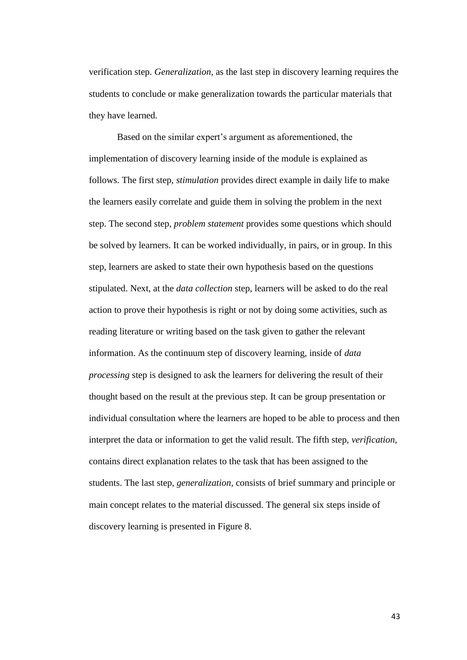verification step. *Generalization*, as the last step in discovery learning requires the students to conclude or make generalization towards the particular materials that they have learned.

Based on the similar expert's argument as aforementioned, the implementation of discovery learning inside of the module is explained as follows. The first step, *stimulation* provides direct example in daily life to make the learners easily correlate and guide them in solving the problem in the next step. The second step, *problem statement* provides some questions which should be solved by learners. It can be worked individually, in pairs, or in group. In this step, learners are asked to state their own hypothesis based on the questions stipulated. Next, at the *data collection* step, learners will be asked to do the real action to prove their hypothesis is right or not by doing some activities, such as reading literature or writing based on the task given to gather the relevant information. As the continuum step of discovery learning, inside of *data processing* step is designed to ask the learners for delivering the result of their thought based on the result at the previous step. It can be group presentation or individual consultation where the learners are hoped to be able to process and then interpret the data or information to get the valid result. The fifth step, *verification,*  contains direct explanation relates to the task that has been assigned to the students. The last step, *generalization,* consists of brief summary and principle or main concept relates to the material discussed. The general six steps inside of discovery learning is presented in Figure 8.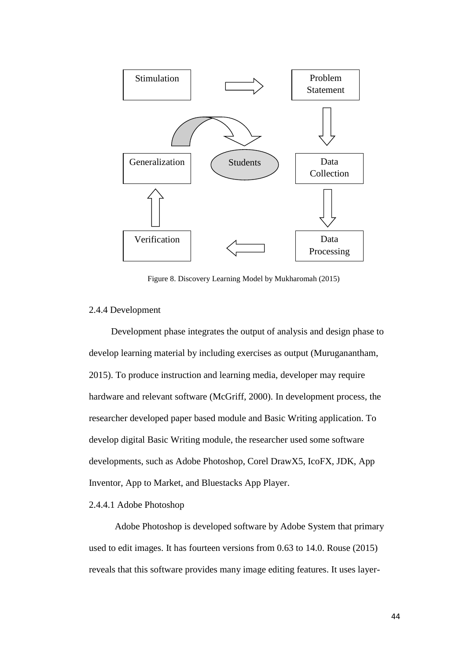

Figure 8. Discovery Learning Model by Mukharomah (2015)

# 2.4.4 Development

Development phase integrates the output of analysis and design phase to develop learning material by including exercises as output (Muruganantham, 2015). To produce instruction and learning media, developer may require hardware and relevant software (McGriff, 2000). In development process, the researcher developed paper based module and Basic Writing application. To develop digital Basic Writing module, the researcher used some software developments, such as Adobe Photoshop, Corel DrawX5, IcoFX, JDK, App Inventor, App to Market, and Bluestacks App Player.

# 2.4.4.1 Adobe Photoshop

Adobe Photoshop is developed software by Adobe System that primary used to edit images. It has fourteen versions from 0.63 to 14.0. Rouse (2015) reveals that this software provides many image editing features. It uses layer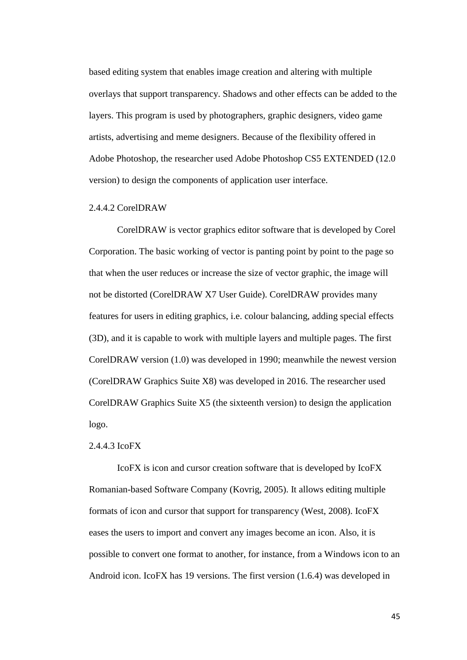based editing system that enables image creation and altering with multiple overlays that support transparency. Shadows and other effects can be added to the layers. This program is used by photographers, graphic designers, video game artists, advertising and meme designers. Because of the flexibility offered in Adobe Photoshop, the researcher used Adobe Photoshop CS5 EXTENDED (12.0 version) to design the components of application user interface.

#### 2.4.4.2 CorelDRAW

CorelDRAW is vector graphics editor software that is developed by Corel Corporation. The basic working of vector is panting point by point to the page so that when the user reduces or increase the size of vector graphic, the image will not be distorted (CorelDRAW X7 User Guide). CorelDRAW provides many features for users in editing graphics, i.e. colour balancing, adding special effects (3D), and it is capable to work with multiple layers and multiple pages. The first CorelDRAW version (1.0) was developed in 1990; meanwhile the newest version (CorelDRAW Graphics Suite X8) was developed in 2016. The researcher used CorelDRAW Graphics Suite X5 (the sixteenth version) to design the application logo.

# 2.4.4.3 IcoFX

IcoFX is icon and cursor creation software that is developed by IcoFX Romanian-based Software Company (Kovrig, 2005). It allows editing multiple formats of icon and cursor that support for transparency (West, 2008). IcoFX eases the users to import and convert any images become an icon. Also, it is possible to convert one format to another, for instance, from a Windows icon to an Android icon. IcoFX has 19 versions. The first version (1.6.4) was developed in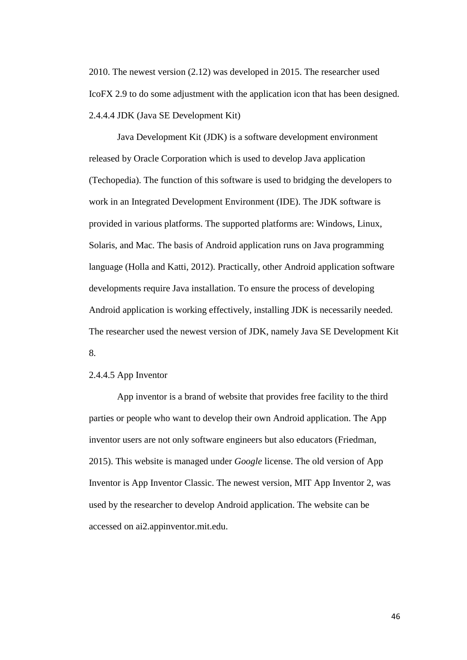2010. The newest version (2.12) was developed in 2015. The researcher used IcoFX 2.9 to do some adjustment with the application icon that has been designed. 2.4.4.4 JDK (Java SE Development Kit)

Java Development Kit (JDK) is a software development environment released by Oracle Corporation which is used to develop Java application (Techopedia). The function of this software is used to bridging the developers to work in an Integrated Development Environment (IDE). The JDK software is provided in various platforms. The supported platforms are: Windows, Linux, Solaris, and Mac. The basis of Android application runs on Java programming language (Holla and Katti, 2012). Practically, other Android application software developments require Java installation. To ensure the process of developing Android application is working effectively, installing JDK is necessarily needed. The researcher used the newest version of JDK, namely Java SE Development Kit 8.

## 2.4.4.5 App Inventor

App inventor is a brand of website that provides free facility to the third parties or people who want to develop their own Android application. The App inventor users are not only software engineers but also educators (Friedman, 2015). This website is managed under *Google* license. The old version of App Inventor is App Inventor Classic. The newest version, MIT App Inventor 2, was used by the researcher to develop Android application. The website can be accessed on ai2.appinventor.mit.edu.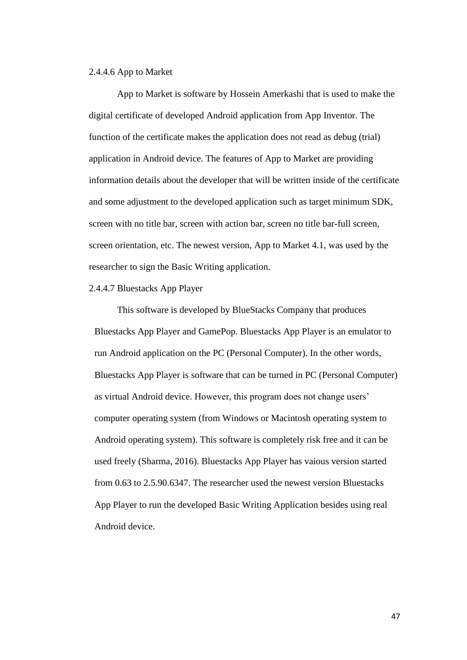## 2.4.4.6 App to Market

App to Market is software by Hossein Amerkashi that is used to make the digital certificate of developed Android application from App Inventor. The function of the certificate makes the application does not read as debug (trial) application in Android device. The features of App to Market are providing information details about the developer that will be written inside of the certificate and some adjustment to the developed application such as target minimum SDK, screen with no title bar, screen with action bar, screen no title bar-full screen, screen orientation, etc. The newest version, App to Market 4.1, was used by the researcher to sign the Basic Writing application.

#### 2.4.4.7 Bluestacks App Player

This software is developed by BlueStacks Company that produces Bluestacks App Player and GamePop. Bluestacks App Player is an emulator to run Android application on the PC (Personal Computer). In the other words, Bluestacks App Player is software that can be turned in PC (Personal Computer) as virtual Android device. However, this program does not change users" computer operating system (from Windows or Macintosh operating system to Android operating system). This software is completely risk free and it can be used freely (Sharma, 2016). Bluestacks App Player has vaious version started from 0.63 to 2.5.90.6347. The researcher used the newest version Bluestacks App Player to run the developed Basic Writing Application besides using real Android device.